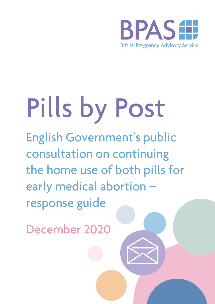

# Pills by Post

English Government's public consultation on continuing the home use of both pills for early medical abortion response guide

December 2020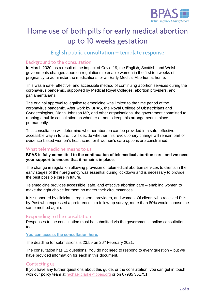

## Home use of both pills for early medical abortion up to 10 weeks gestation

### English public consultation - template response

#### Background to the consultation

In March 2020, as a result of the impact of Covid-19, the English, Scottish, and Welsh governments changed abortion regulations to enable women in the first ten weeks of pregnancy to administer the medications for an Early Medical Abortion at home.

This was a safe, effective, and accessible method of continuing abortion services during the coronavirus pandemic, supported by Medical Royal Colleges, abortion providers, and parliamentarians.

The original approval to legalise telemedicine was limited to the time period of the coronavirus pandemic. After work by BPAS, the Royal College of Obstetricians and Gynaecologists, Diana Johnson MP, and other organisations, the government committed to running a public consultation on whether or not to keep this arrangement in place permanently.

This consultation will determine whether abortion can be provided in a safe, effective, accessible way in future. It will decide whether this revolutionary change will remain part of evidence-based women's healthcare, or if women's care options are constrained.

#### What telemedicine means to us

**BPAS is fully committed to the continuation of telemedical abortion care, and we need your support to ensure that it remains in place.** 

The change in regulation allowing provision of telemedical abortion services to clients in the early stages of their pregnancy was essential during lockdown and is necessary to provide the best possible care in future.

Telemedicine provides accessible, safe, and effective abortion care – enabling women to make the right choice for them no matter their circumstances.

It is supported by clinicians, regulators, providers, and women. Of clients who received Pills by Post who expressed a preference in a follow-up survey, more than 80% would choose the same method again.

#### Responding to the consultation

Responses to the consultation must be submitted via the government's online consultation tool.

#### **[You can access the consultation here.](https://consultations.dhsc.gov.uk/5f624dc5a9019563c2099cda)**

The deadline for submissions is 23:59 on 26<sup>th</sup> February 2021.

The consultation has 11 questions. You do not need to respond to every question – but we have provided information for each in this document.

#### **Contacting us**

If you have any further questions about this guide, or the consultation, you can get in touch with our policy team at [rachael.clarke@bpas.org](mailto:rachael.clarke@bpas.org) or on 07985 351751.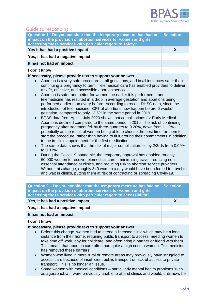

#### **Guide to responding**

| Question 1 - Do you consider that the temporary measure has had an<br>impact on the provision of abortion services for women and girls<br>accessing these services with particular regard to safety? | <b>Selection</b> |
|------------------------------------------------------------------------------------------------------------------------------------------------------------------------------------------------------|------------------|
| Yes it has had a positive impact                                                                                                                                                                     | X                |
| Yes, it has had a negative impact                                                                                                                                                                    |                  |
| It has not had an impact                                                                                                                                                                             |                  |
| I don't know                                                                                                                                                                                         |                  |

#### **If necessary, please provide text to support your answer:**

- Abortion is a very safe procedure at all gestations, and in all instances safer than continuing a pregnancy to term. Telemedical care has enabled providers to deliver a safe, effective, and accessible abortion service.
- Abortion is safer and better for women the earlier it is performed and telemedicine has resulted in a drop in average gestation and abortions being performed earlier than every before. According to recent DHSC data, since the introduction of telemedicine, 30% of abortions now happen before 6 weeks' gestation, compared to only 13.5% in the same period in 2019.
- BPAS data from April July 2020 shows that complications for Early Medical Abortions declined compared to the same period in 2019. The risk of continuing pregnancy after treatment fell by three-quarters to 0.28%, down from 1.12% potentially as the result of women being able to choose the best time for them to start the procedure, rather than having to fit it around their commitments in addition to the in-clinic appointment for the first medication
- The same data shows that the risk of major complication fell by 2/3rds from 0.09% to 0.03%
- During the Covid-19 pandemic, the temporary approval has enabled roughly 60,000 women to receive telemedical care – minimising travel, reducing nonessential attendance at clinics, and reducing risk to abortion service providers. Without this change, roughly 340 women a day would have been forced to travel to and wait in clinics, putting them at risk of contracting or spreading Covid-19.

| Question 2 – Do you consider that the temporary measure has had an Selection<br>impact on the provision of abortion services for women and girls<br>accessing these services with particular regard to accessibility? |   |
|-----------------------------------------------------------------------------------------------------------------------------------------------------------------------------------------------------------------------|---|
| Yes, it has had a positive impact                                                                                                                                                                                     | X |
| Yes, it has had a negative impact                                                                                                                                                                                     |   |
| It has not had an impact                                                                                                                                                                                              |   |
| I don't know                                                                                                                                                                                                          |   |

**If necessary, please provide text to support your answer:**

- Before this change, women had to attend a licensed clinic which may be a long distance from their home, requiring public transport to access, needing women to take time off work, pay for childcare, and often bring a partner or friend with them. This meant that abortion care often had quite a high cost to women. Telemedicine has removed these barriers.
- Women who lived in more rural or remote areas may previously have struggled to access care because of insufficient public transport or lack of access to private transport. This is no longer an issue.
- Some women with medical conditions particularly mental health problems such as agoraphobia – were previously unable to attend clinics and would, until now, be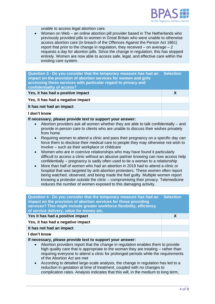

unable to access legal abortion care.

• Women on Web – an online abortion pill provider based in The Netherlands who previously provided pills to women in Great Britain who were unable to otherwise access abortion care (in breach of the Offences Against the Person Act 1861) report that prior to the change in regulation, they received  $-$  on average  $-2$ requests a day for abortion pills. Since the change in regulation, this has stopped entirely. Women are now able to access safe, legal, and effective care within the existing care system.

| Question 3 - Do you consider that the temporary measure has had an<br>impact on the provision of abortion services for women and girls<br>accessing these services with particular regard to privacy and<br>confidentiality of access?                           | <b>Selection</b> |
|------------------------------------------------------------------------------------------------------------------------------------------------------------------------------------------------------------------------------------------------------------------|------------------|
| Yes, it has had a positive impact                                                                                                                                                                                                                                | X                |
| Yes, it has had a negative impact                                                                                                                                                                                                                                |                  |
| It has not had an impact                                                                                                                                                                                                                                         |                  |
| I don't know                                                                                                                                                                                                                                                     |                  |
| If necessary, please provide text to support your answer:<br>Abortion providers ask all women whether they are able to talk confidentially – and<br>$\bullet$<br>provide in-person care to clients who are unable to discuss their wishes privately<br>from home |                  |

- Requiring women to attend a clinic and pass their pregnancy on a specific day can force them to disclose their medical care to people they may otherwise not wish to involve – such as their workplace or childcare
- Women who are in coercive relationships who may have found it particularly difficult to access a clinic without an abusive partner knowing can now access help confidentially – pregnancy is sadly often used to tie a woman to a relationship
- More than half of women who had an abortion in 2019 had to attend a clinic or hospital that was targeted by anti-abortion protesters. These women often report being watched, observed, and being made the feel guilty. Multiple women report knowing a protester outside the clinic – compromising their privacy. Telemedicine reduces the number of women exposed to this damaging activity.

| Question 4 - Do you consider that the temporary measure has had an<br>impact on the provision of abortion services for those providing<br>services? This might include greater workforce flexibility, efficiency<br>of service delivery, value for money etc.                                                                                                                                                                                                                                                                        | <b>Selection</b> |
|--------------------------------------------------------------------------------------------------------------------------------------------------------------------------------------------------------------------------------------------------------------------------------------------------------------------------------------------------------------------------------------------------------------------------------------------------------------------------------------------------------------------------------------|------------------|
| Yes it has had a positive impact                                                                                                                                                                                                                                                                                                                                                                                                                                                                                                     | X                |
| Yes, it has had a negative impact                                                                                                                                                                                                                                                                                                                                                                                                                                                                                                    |                  |
| It has not had an impact                                                                                                                                                                                                                                                                                                                                                                                                                                                                                                             |                  |
| I don't know                                                                                                                                                                                                                                                                                                                                                                                                                                                                                                                         |                  |
| If necessary, please provide text to support your answer:<br>Abortion providers report that the change in regulation enables them to provide<br>high quality care that is appropriate to the woman they are treating – rather than<br>requiring everyone to attend a clinic for prolonged periods while the requirements<br>of the Abortion Act are met<br>According to detailed large-scale analysis, the change in regulation has led to a<br>$\bullet$<br>reduction in gestation at time of treatment, coupled with no changes to |                  |

complication rates. Analysis indicates that this will, in the medium to long term,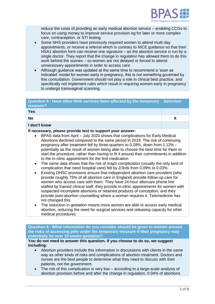

reduce the costs of providing an early medical abortion service – enabling CCGs to focus on using money to improve service provision eg for later or more complex care, contraception, or STI testing

- Some NHS providers have previously required women to attend multi-day appointments, or receive a referral which is contrary to NICE guidance so that their HSA1 abortion form can receive one signature – as the abortion service is run by a single doctor. They report that the change in regulation has allowed them to do this work behind the scenes – so women are not delayed or forced to attend unnecessary appointments in order to access care.
- Although guidance was updated at the same time to recommend a 'scan as indicated' model for women early in pregnancy, this is not something governed by this consultation. Government should not play a role in clinical best practice, and specifically not implement rules which result in requiring women early in pregnancy to undergo transvaginal scanning.

| Question 5 - Have other NHS services been affected by the temporary Selection<br>measure? |  |
|-------------------------------------------------------------------------------------------|--|
| Yes                                                                                       |  |
| <b>No</b>                                                                                 |  |

#### **I don't know**

#### **If necessary, please provide text to support your answer:**

- BPAS data from April July 2020 shows that complications for Early Medical Abortions declined compared to the same period in 2019. The risk of continuing pregnancy after treatment fell by three-quarters to 0.28%, down from 1.12% potentially as the result of women being able to choose the best time for them to start the procedure, rather than having to fit it around their commitments in addition to the in-clinic appointment for the first medication
- The same data shows that the risk of major complication (usually the only kind of complication that need hospital care) fell by 2/3rds from 0.09% to 0.03%
- Existing DHSC provisions ensure that independent abortion care providers (who provide roughly 75% of all abortion care in England) provide follow-up care for women who access care with them. They have 24-hour aftercare phone line staffed by trained clinical staff, they provide in-clinic appointments for women with suspected incomplete abortions or retained products of conception, and they provide post-abortion counselling where a woman requires it. Telemedicine has not changed this.
- The reduction in gestation means more women are able to access early medical abortion, reducing the need for surgical services and releasing capacity for other medical procedures

**Question 6 - What information do you consider should be given to women around the risks of accessing pills under the temporary measure if their pregnancy may potentially be over 10 weeks gestation?**

**You do not need to answer this question. If you choose to do so, we suggest including:**

- Abortion providers include this information in discussions with clients in the same way as other kinds of risks and complications of abortion treatment. Doctors and nurses are the best people to determine what they need to discuss with their patients, not the government.
- The risk of this complication is very low  $-$  according to a large-scale analysis of abortion provision before and after the change in regulation, 0.04% of abortions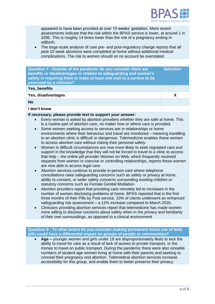

appeared to have been provided at over 10 weeks' gestation. More recent assessments indicate that the risk within the BPAS service is lower, at around 1 in 3285. This is roughly 14 times lower than the risk of a pregnancy ending in stillbirth.

• The large-scale analysis of care pre- and post-regulatory change reports that all post-10 week abortions were completed at home without additional medical complications. The risk to women should on no account be overstated.

| Question 7 - Outside of the pandemic do you consider there are<br>benefits or disadvantages in relation to safeguarding and women's<br>safety in requiring them to make at least one visit to a service to be<br>assessed by a clinician? | <b>Selection</b> |
|-------------------------------------------------------------------------------------------------------------------------------------------------------------------------------------------------------------------------------------------|------------------|
| Yes, benefits                                                                                                                                                                                                                             |                  |
| Yes, disadvantages                                                                                                                                                                                                                        |                  |
| <b>No</b>                                                                                                                                                                                                                                 |                  |
| I don't know                                                                                                                                                                                                                              |                  |

#### **If necessary, please provide text to support your answer:**

- Every woman is asked by abortion providers whether they are safe at home. This is a routine part of abortion care, no matter how or where care is provided.
- Some women seeking access to services are in relationships or home environments where their behaviour and travel are monitored – meaning travelling to an abortion clinic is difficult or dangerous. Telemedicine enables these women to access abortion care without risking their personal safety.
- Women in difficult circumstances are now more likely to seek regulated care and support in the knowledge that they will not be forced to travel to a clinic to access that help – the online pill provider Women on Web, which frequently received requests from women in coercive or controlling relationships, reports these women are now able to access legal care.
- Abortion services continue to provide in-person care where telephone consultations raise safeguarding concerns such as safety or privacy at home, ability to consent, or wider safety concerns surrounding existing children or statutory concerns such as Female Genital Mutilation
- Abortion providers report that providing care remotely led to increases in the number of women disclosing problems at home. BPAS reported that in the first three months of their Pills by Post service, 10% of clients underwent an enhanced safeguarding risk assessment – a 12% increase compared to March 2020.
- Clinicians providing abortion services report that telemedicine has made women more willing to disclose concerns about safety when in the privacy and familiarity of their own surroundings, as opposed to a clinical environment

**Question 8 - To what extent do you consider making permanent home use of both pills could have a differential impact on groups of people or communities?**

• **Age –** younger women and girls under 18 are disproportionately likely to lack the ability to travel for care as a result of lack of access to private transport, or the money to travel on public transport. During the pandemic there were also sizeable numbers of student-age women living at home with their parents and seeking to conceal their pregnancy and abortion. Telemedical abortion services increase accessibility for this group, and enable them to better preserve their privacy.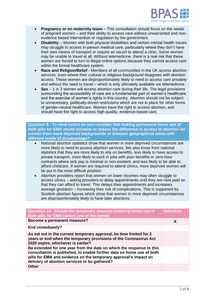

- **Pregnancy or on maternity leave**  This consultation should focus on the needs of pregnant women – and their ability to access care without unwarranted and nonevidence based intervention or regulation by the government.
- **Disability** Women with both physical disabilities and certain mental health issues may struggle to access in-person medical care, particularly where they don't have their own means of transport or require an escort to attend a clinic. Some women may be unable to travel at all. Without telemedicine, there is a real risk that these women are forced to turn to illegal online options because they cannot access care within the formal healthcare system.
- **Race and Religion/Belief -** Members of all communities in the UK access abortion services, even where their cultural or religious background disagrees with abortion access. These women are disproportionately likely to need to access care privately and without the need to travel – which is only ultimately available via telemedicine.
- **Sex**  1 in 3 women will access abortion care during their life. The legal provisions surrounding the accessibility of care are a fundamental part of women's healthcare and the exercise of women's rights in this country. Abortion should not be subject to unnecessary, politically-driven restrictions which are not in place for other forms of gender-neutral healthcare. Women have the right to access abortion, and should have the right to access high-quality, evidence-based care.

**Question 9 - To what extent do you consider that making permanent home use of both pills for EMA would increase or reduce the difference in access to abortion for women from more deprived backgrounds or between geographical areas with different levels of disadvantage?**

- National abortion statistics show that women in more deprived circumstances are more likely to need to access abortion services. We also know from national statistics that they are more likely to rely on benefits, less likely to have access to private transport, more likely to work in jobs with poor benefits or zero-hour contracts where sick pay is minimal or non-existent, and less likely to be able to afford childcare. If women are required to attend clinics, more deprived women will be put in the most difficult position.
- Abortion providers report that women on lower incomes may often struggle to access clinics – asking providers to delay appointments until they are next paid so that they can afford to travel. This delays their appointments and increases average gestation – increasing their risk of complications. This is supported by Scottish abortion figures which show that women in more deprived circumstances are disproportionately likely to have later abortions.

| Question 10 - Should the temporary measure enabling home use of<br>both pills for EMA [select one of the below]                                                                                                                                                    | <b>Selection</b> |
|--------------------------------------------------------------------------------------------------------------------------------------------------------------------------------------------------------------------------------------------------------------------|------------------|
| Become a permanent measure?                                                                                                                                                                                                                                        | X                |
| End immediately?                                                                                                                                                                                                                                                   |                  |
| As set out in the current temporary approval, be time limited for 2<br>years or end when the temporary provisions of the Coronavirus Act<br>2020 expire, whichever is earlier?                                                                                     |                  |
| Be extended for one year from the date on which the response to this<br>consultation is published, to enable further data on home use of both<br>pills for EMA and evidence on the temporary approval's impact on<br>delivery of abortion services to be gathered? |                  |
| Other                                                                                                                                                                                                                                                              |                  |